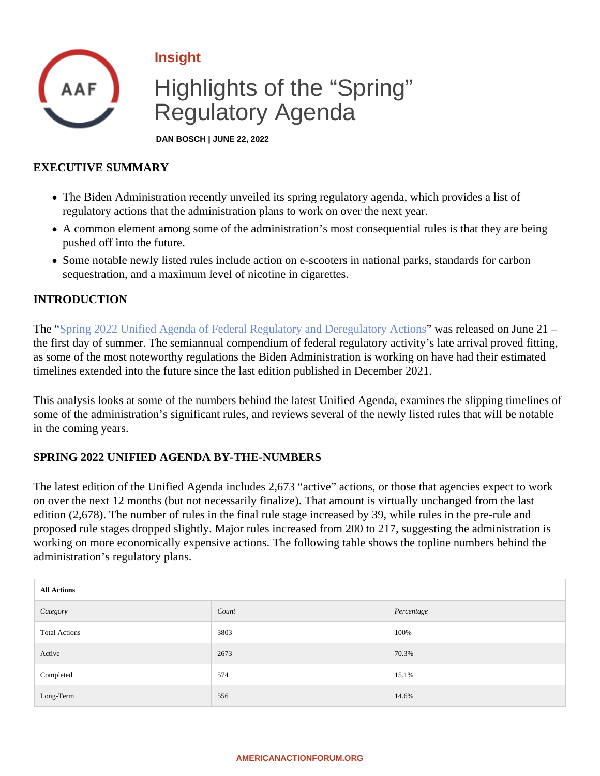## Insight

# Highlights of the "Spring" Regulatory Agenda

DAN BOSCH | JUNE 22, 2022

## EXECUTIVE SUMMARY

- The Biden Administration recently unveiled its spring regulatory agenda, which provides a list of regulatory actions that the administration plans to work on over the next year.
- A common element among some of the administration's most consequential rules is that they are being pushed off into the future.
- Some notable newly listed rules include action on e-scooters in national parks, standards for carbon sequestration, and a maximum level of nicotine in cigarettes.

## INTRODUCTION

The ["Spring 2022 Unified Agenda of Federal Regulatory and Deregulatory A](�� h t t p s : / / w w w . r e g i n f o . g o v / p u b l i c / d o / e A g e n d a M a i n)cticas released on June 21 – the first day of summer. The semiannual compendium of federal regulatory activity's late arrival proved fitting, as some of the most noteworthy regulations the Biden Administration is working on have had their estimated timelines extended into the future since the last edition published in December 2021.

This analysis looks at some of the numbers behind the latest Unified Agenda, examines the slipping timelines some of the administration's significant rules, and reviews several of the newly listed rules that will be notable in the coming years.

## SPRING 2022 UNIFIED AGENDA BY-THE-NUMBERS

The latest edition of the Unified Agenda includes 2,673 "active" actions, or those that agencies expect to work on over the next 12 months (but not necessarily finalize). That amount is virtually unchanged from the last edition (2,678). The number of rules in the final rule stage increased by 39, while rules in the pre-rule and proposed rule stages dropped slightly. Major rules increased from 200 to 217, suggesting the administration i working on more economically expensive actions. The following table shows the topline numbers behind the administration's regulatory plans.

| All Actions          |       |            |  |
|----------------------|-------|------------|--|
| Category             | Count | Percentage |  |
| <b>Total Actions</b> | 3803  | 100%       |  |
| Active               | 2673  | 70.3%      |  |
| Completed            | 574   | 15.1%      |  |
| Long-Term            | 556   | 14.6%      |  |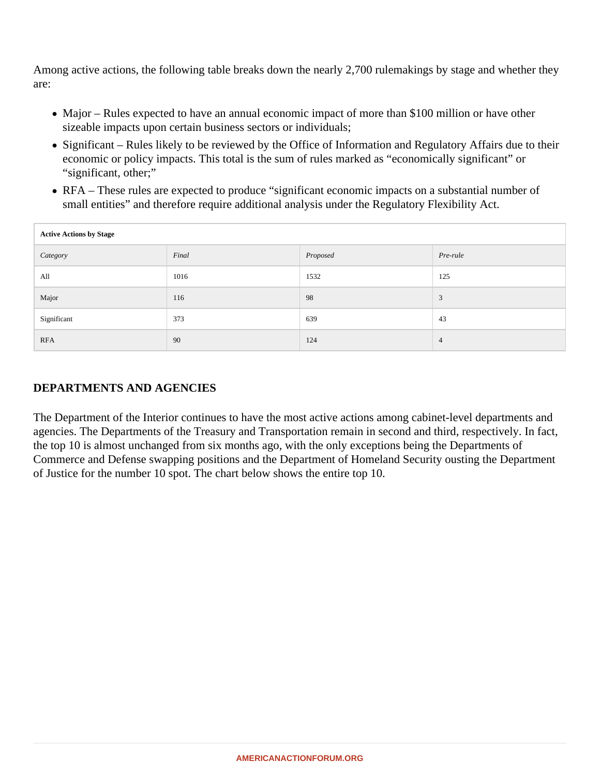Among active actions, the following table breaks down the nearly 2,700 rulemakings by stage and whether they are:

- Major Rules expected to have an annual economic impact of more than \$100 million or have other sizeable impacts upon certain business sectors or individuals;
- Significant Rules likely to be reviewed by the Office of Information and Regulatory Affairs due to their economic or policy impacts. This total is the sum of rules marked as "economically significant" or "significant, other;"
- RFA These rules are expected to produce "significant economic impacts on a substantial number of small entities" and therefore require additional analysis under the Regulatory Flexibility Act.

| <b>Active Actions by Stage</b> |       |          |          |  |
|--------------------------------|-------|----------|----------|--|
| Category                       | Final | Proposed | Pre-rule |  |
| All                            | 1016  | 1532     | 125      |  |
| Major                          | 116   | 98       | 3        |  |
| Significant                    | 373   | 639      | 43       |  |
| <b>RFA</b>                     | 90    | 124      | 4        |  |

## **DEPARTMENTS AND AGENCIES**

The Department of the Interior continues to have the most active actions among cabinet-level departments and agencies. The Departments of the Treasury and Transportation remain in second and third, respectively. In fact, the top 10 is almost unchanged from six months ago, with the only exceptions being the Departments of Commerce and Defense swapping positions and the Department of Homeland Security ousting the Department of Justice for the number 10 spot. The chart below shows the entire top 10.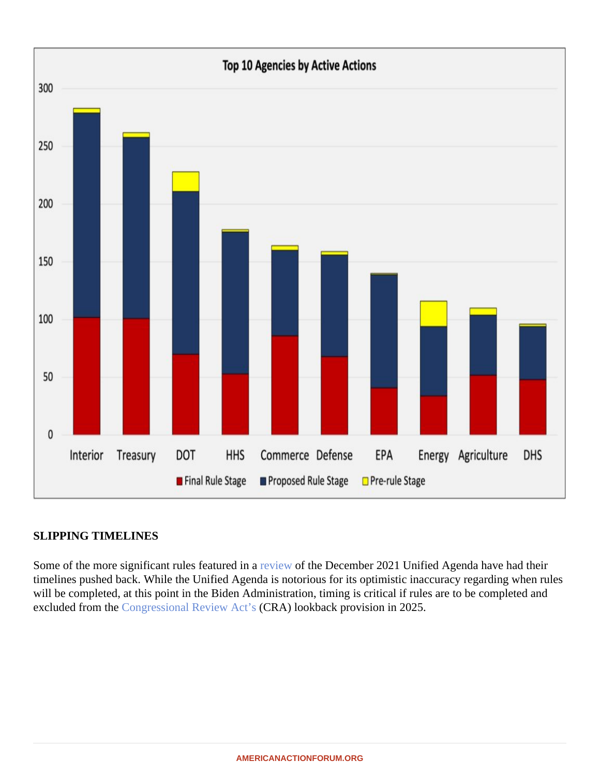## SLIPPING TIMELINES

Some of the more significant rules featured in a wew of the December 2021 Unified Agenda have had their timelines pushed back. While the Unified Agenda is notorious for its optimistic inaccuracy regarding when rule will be completed, at this point in the Biden Administration, timing is critical if rules are to be completed and excludedfrom the **Congressional Review Act'**(CRA) lookback provision in 2025.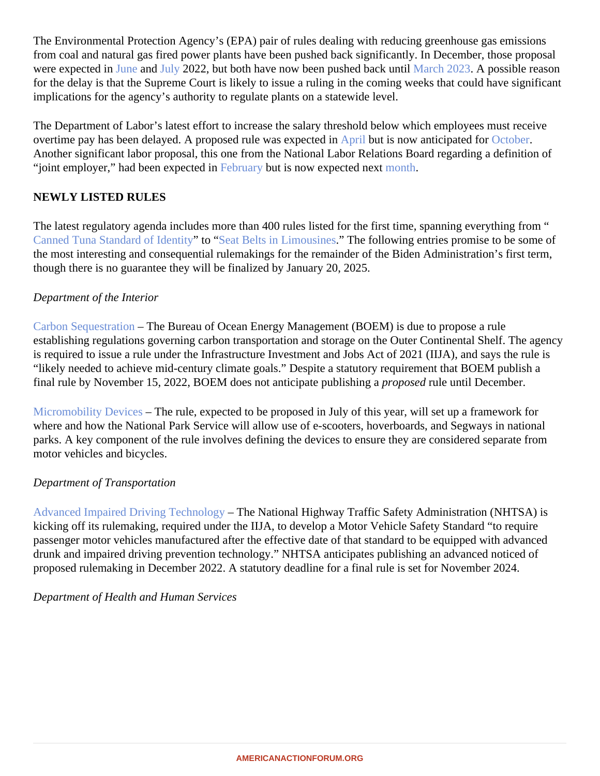The Environmental Protection Agency's (EPA) pair of rules dealing with reducing greenhouse gas emissions from coal and natural gas fired power plants have been pushed back significantly. In December, those propose were expected in une and [July](�� h t t p s : / / w w w . r e g i n f o . g o v / p u b l i c / d o / e A g e n d a V i e w R u l e ? p u b I d = 2 0 2 1 1 0 & R I N = 2 0 6 0 - A V 1 0) 2022, but both have now been pushed back Matrich [2023](�� h t t p s : / / w w w . r e g i n f o . g o v / p u b l i c / d o / e A g e n d a V i e w R u l e ? p u b I d = 2 0 2 2 0 4 & R I N = 2 0 6 0 - A V 1 0) A possible reason for the delay is that the Supreme Court is likely to issue a ruling in the coming weeks that could have significa implications for the agency's authority to regulate plants on a statewide level.

The Department of Labor's latest effort to increase the salary threshold below which employees must receive overtime pay has been delayed. A proposed rule was expected libut is now anticipated for orbor Another significant labor proposal, this one from the National Labor Relations Board regarding a definition of "joint employer," had been expected Find pruary but is now expected next on the

## NEWLY LISTED RULES

The latest regulatory agenda includes more than 400 rules listed for the first time, spanning everything from " [Canned Tuna Standard of Iden](�� h t t p s : / / w w w . r e g i n f o . g o v / p u b l i c / d o / e A g e n d a V i e w R u l e ? p u b I d = 2 0 2 2 0 4 & R I N = 0 9 1 0 - A I 7 4)tito "[Seat Belts in Limousine](�� h t t p s : / / w w w . r e g i n f o . g o v / p u b l i c / d o / e A g e n d a V i e w R u l e ? p u b I d = 2 0 2 2 0 4 & R I N = 2 1 2 7 - A M 4 8)sThe following entries promise to be some of the most interesting and consequential rulemakings for the remainder of the Biden Administration's first term, though there is no guarantee they will be finalized by January 20, 2025.

## Department of the Interior

[Carbon Sequestratio](�� h t t p s : / / w w w . r e g i n f o . g o v / p u b l i c / d o / e A g e n d a V i e w R u l e ? p u b I d = 2 0 2 2 0 4 & R I N = 1 0 8 2 - A A 0 4)nThe Bureau of Ocean Energy Management (BOEM) is due to propose a rule establishing regulations governing carbon transportation and storage on the Outer Continental Shelf. The age is required to issue a rule under the Infrastructure Investment and Jobs Act of 2021 (IIJA), and says the rule i "likely needed to achieve mid-century climate goals." Despite a statutory requirement that BOEM publish a final rule by November 15, 2022, BOEM does not anticipate publishang prosed rule until December.

[Micromobility Devices](�� h t t p s : / / w w w . r e g i n f o . g o v / p u b l i c / d o / e A g e n d a V i e w R u l e ? p u b I d = 2 0 2 2 0 4 & R I N = 1 0 2 4 - A E 7 9) – The rule, expected to be proposed in July of this year, will set up a framework for where and how the National Park Service will allow use of e-scooters, hoverboards, and Segways in national parks. A key component of the rule involves defining the devices to ensure they are considered separate from motor vehicles and bicycles.

Department of Transportation

[Advanced Impaired Driving Technolo](�� h t t p s : / / w w w . r e g i n f o . g o v / p u b l i c / d o / e A g e n d a V i e w R u l e ? p u b I d = 2 0 2 2 0 4 & R I N = 2 1 2 7 - A M 5 0)gyThe National Highway Traffic Safety Administration (NHTSA) is kicking off its rulemaking, required under the IIJA, to develop a Motor Vehicle Safety Standard "to require passenger motor vehicles manufactured after the effective date of that standard to be equipped with advance drunk and impaired driving prevention technology." NHTSA anticipates publishing an advanced noticed of proposed rulemaking in December 2022. A statutory deadline for a final rule is set for November 2024.

Department of Health and Human Services